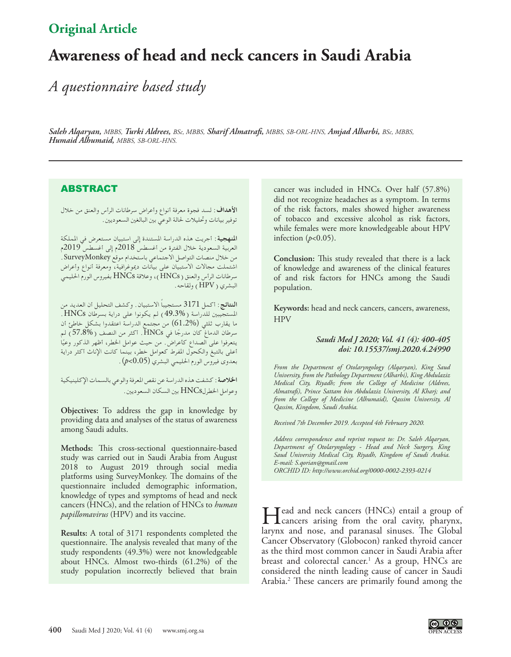# **Original Article**

# **Awareness of head and neck cancers in Saudi Arabia**

*A questionnaire based study*

*Saleh Alqaryan, MBBS, Turki Aldrees, BSc, MBBS, Sharif Almatrafi, MBBS, SB-ORL-HNS, Amjad Alharbi, BSc, MBBS, Humaid Alhumaid, MBBS, SB-ORL-HNS.*

## **ABSTRACT**

**األهداف:** لسد فجوة معرفة أنواع وأعراض سرطانات الرأس والعنق من خالل توفير بيانات وحتليالت حلالة الوعي بني البالغني السعوديني.

**املنهجية:** أجريت هذه الدراسة املستندة إلى استبيان مستعرض في اململكة العربية السعودية خالل الفترة من أغسطس 2018م إلى أغسطس 2019م من خالل منصات التواصل االجتماعي باستخدام موقع SurveyMonkey. اشتملت مجاالت االستبيان على بيانات دميوغرافية، ومعرفة أنواع وأعراض سرطانات الرأس والعنق )HNCs)، وعالقة HNCs بفيروس الورم احلليمي البشري )HPV )ولقاحه.

**النتائج:** أكمل 3171 ً مستجيبا االستبيان. وكشف التحليل أن العديد من املستجيبني للدراسة )49.3%( لم يكونوا على دراية بسرطان HNCs. ما يقارب ثلثي )61.2%( من مجتمع الدراسة اعتقدوا بشكل خاطئ أن سرطان الدماغ كان مدرجًا في HNCs. أكثر من النصف (%57.8) لم<br>يتعرفوا على الصداع كأعراض. من حيث عوامل الخطر، أظهر الذكور وعيًا أعلى بالتبغ والكحول املفرط كعوامل خطر، بينما كانت اإلناث أكثر دراية بعدوى فيروس الورم احلليمي البشري )0.05>*p*).

**اخلالصة:** كشفت هذه الدراسة عن نقص املعرفة والوعي بالسمات اإلكلينيكية وعوامل اخلطرلHNCs بني السكان السعوديني.

**Objectives:** To address the gap in knowledge by providing data and analyses of the status of awareness among Saudi adults.

**Methods:** This cross-sectional questionnaire-based study was carried out in Saudi Arabia from August 2018 to August 2019 through social media platforms using SurveyMonkey. The domains of the questionnaire included demographic information, knowledge of types and symptoms of head and neck cancers (HNCs), and the relation of HNCs to *human papillomavirus* (HPV) and its vaccine.

**Results:** A total of 3171 respondents completed the questionnaire. The analysis revealed that many of the study respondents (49.3%) were not knowledgeable about HNCs. Almost two-thirds (61.2%) of the study population incorrectly believed that brain

cancer was included in HNCs. Over half (57.8%) did not recognize headaches as a symptom. In terms of the risk factors, males showed higher awareness of tobacco and excessive alcohol as risk factors, while females were more knowledgeable about HPV infection (*p*<0.05).

**Conclusion:** This study revealed that there is a lack of knowledge and awareness of the clinical features of and risk factors for HNCs among the Saudi population.

**Keywords:** head and neck cancers, cancers, awareness, **HPV** 

### *Saudi Med J 2020; Vol. 41 (4): 400-405 doi: 10.15537/smj.2020.4.24990*

*From the Department of Otolaryngology (Alqaryan), King Saud University, from the Pathology Department (Alharbi), King Abdulaziz Medical City, Riyadh; from the College of Medicine (Aldrees, Almatrafi), Prince Sattam bin Abdulaziz University, Al Kharj; and from the College of Medicine (Alhumaid), Qassim University, Al Qassim, Kingdom, Saudi Arabia.*

*Received 7th December 2019. Accepted 4th February 2020.*

*Address correspondence and reprint request to: Dr. Saleh Alqaryan, Department of Otolaryngology - Head and Neck Surgery, King Saud University Medical City, Riyadh, Kingdom of Saudi Arabia. E-mail: S.qorian@gmail.com ORCHID ID: http://www.orchid.org/0000-0002-2393-0214*

Head and neck cancers (HNCs) entail a group of cancers arising from the oral cavity, pharynx, larynx and nose, and paranasal sinuses. The Global Cancer Observatory (Globocon) ranked thyroid cancer as the third most common cancer in Saudi Arabia after breast and colorectal cancer.<sup>[1](#page-5-0)</sup> As a group, HNCs are considered the ninth leading cause of cancer in Saudi Arabia[.2](#page-5-1) These cancers are primarily found among the

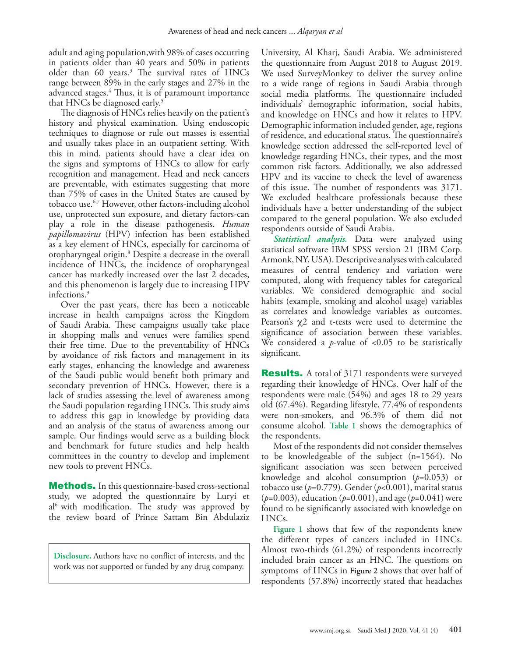adult and aging population,with 98% of cases occurring in patients older than 40 years and 50% in patients older than 60 years.<sup>[3](#page-5-2)</sup> The survival rates of HNCs range between 89% in the early stages and 27% in the advanced stages[.4](#page-5-3) Thus, it is of paramount importance that HNCs be diagnosed early.<sup>5</sup>

The diagnosis of HNCs relies heavily on the patient's history and physical examination. Using endoscopic techniques to diagnose or rule out masses is essential and usually takes place in an outpatient setting. With this in mind, patients should have a clear idea on the signs and symptoms of HNCs to allow for early recognition and management. Head and neck cancers are preventable, with estimates suggesting that more than 75% of cases in the United States are caused by tobacco use[.6](#page-5-5),[7](#page-5-6) However, other factors-including alcohol use, unprotected sun exposure, and dietary factors-can play a role in the disease pathogenesis. *Human papillomavirus* (HPV) infection has been established as a key element of HNCs, especially for carcinoma of oropharyngeal origin.[8](#page-5-7) Despite a decrease in the overall incidence of HNCs, the incidence of oropharyngeal cancer has markedly increased over the last 2 decades, and this phenomenon is largely due to increasing HPV infections.[9](#page-5-8)

Over the past years, there has been a noticeable increase in health campaigns across the Kingdom of Saudi Arabia. These campaigns usually take place in shopping malls and venues were families spend their free time. Due to the preventability of HNCs by avoidance of risk factors and management in its early stages, enhancing the knowledge and awareness of the Saudi public would benefit both primary and secondary prevention of HNCs. However, there is a lack of studies assessing the level of awareness among the Saudi population regarding HNCs. This study aims to address this gap in knowledge by providing data and an analysis of the status of awareness among our sample. Our findings would serve as a building block and benchmark for future studies and help health committees in the country to develop and implement new tools to prevent HNCs.

**Methods.** In this questionnaire-based cross-sectional study, we adopted the questionnaire by Luryi et al<sup>[6](#page-5-5)</sup> with modification. The study was approved by the review board of Prince Sattam Bin Abdulaziz

**Disclosure.** Authors have no conflict of interests, and the work was not supported or funded by any drug company.

University, Al Kharj, Saudi Arabia. We administered the questionnaire from August 2018 to August 2019. We used SurveyMonkey to deliver the survey online to a wide range of regions in Saudi Arabia through social media platforms. The questionnaire included individuals' demographic information, social habits, and knowledge on HNCs and how it relates to HPV. Demographic information included gender, age, regions of residence, and educational status. The questionnaire's knowledge section addressed the self-reported level of knowledge regarding HNCs, their types, and the most common risk factors. Additionally, we also addressed HPV and its vaccine to check the level of awareness of this issue. The number of respondents was 3171. We excluded healthcare professionals because these individuals have a better understanding of the subject compared to the general population. We also excluded respondents outside of Saudi Arabia.

*Statistical analysis.* Data were analyzed using statistical software IBM SPSS version 21 (IBM Corp. Armonk, NY, USA). Descriptive analyses with calculated measures of central tendency and variation were computed, along with frequency tables for categorical variables. We considered demographic and social habits (example, smoking and alcohol usage) variables as correlates and knowledge variables as outcomes. Pearson's  $\chi$ 2 and t-tests were used to determine the significance of association between these variables. We considered a *p*-value of <0.05 to be statistically significant.

**Results.** A total of 3171 respondents were surveyed regarding their knowledge of HNCs. Over half of the respondents were male (54%) and ages 18 to 29 years old (67.4%). Regarding lifestyle, 77.4% of respondents were non-smokers, and 96.3% of them did not consume alcohol. **Table 1** shows the demographics of the respondents.

Most of the respondents did not consider themselves to be knowledgeable of the subject (n=1564). No significant association was seen between perceived knowledge and alcohol consumption (*p*=0.053) or tobacco use (*p*=0.779). Gender (*p*<0.001), marital status (*p*=0.003), education (*p*=0.001), and age (*p*=0.041) were found to be significantly associated with knowledge on HNCs.

**Figure 1** shows that few of the respondents knew the different types of cancers included in HNCs. Almost two-thirds (61.2%) of respondents incorrectly included brain cancer as an HNC. The questions on symptoms of HNCs in **Figure 2** shows that over half of respondents (57.8%) incorrectly stated that headaches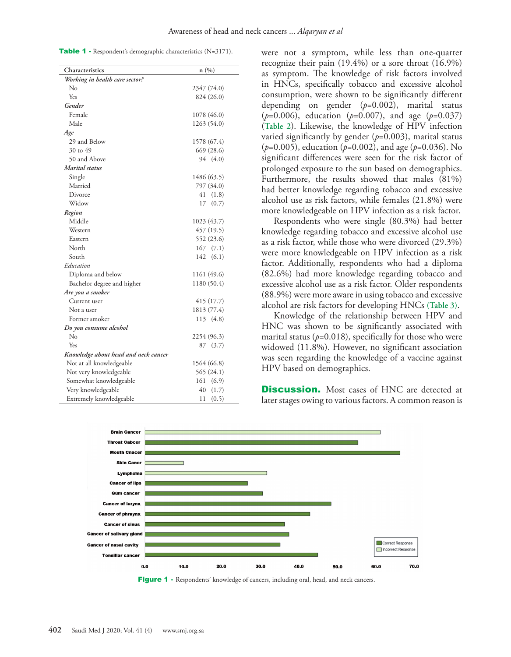Table 1 - Respondent's demographic characteristics (N=3171).

| Characteristics                      | n(%)         |
|--------------------------------------|--------------|
| Working in health care sector?       |              |
| No                                   | 2347 (74.0)  |
| Yes                                  | 824 (26.0)   |
| Gender                               |              |
| Female                               | 1078 (46.0)  |
| Male                                 | 1263 (54.0)  |
| Age                                  |              |
| 29 and Below                         | 1578 (67.4)  |
| 30 to 49                             | 669 (28.6)   |
| 50 and Above                         | 94 (4.0)     |
| Marital status                       |              |
| Single                               | 1486 (63.5)  |
| Married                              | 797 (34.0)   |
| Divorce                              | 41<br>(1.8)  |
| Widow                                | 17<br>(0.7)  |
| Region                               |              |
| Middle                               | 1023 (43.7)  |
| Western                              | 457 (19.5)   |
| Eastern                              | 552 (23.6)   |
| North                                | 167<br>(7.1) |
| South                                | 142<br>(6.1) |
| Education                            |              |
| Diploma and below                    | 1161 (49.6)  |
| Bachelor degree and higher           | 1180 (50.4)  |
| Are you a smoker                     |              |
| Current user                         | 415 (17.7)   |
| Not a user                           | 1813 (77.4)  |
| Former smoker                        | 113 (4.8)    |
| Do you consume alcohol               |              |
| No                                   | 2254 (96.3)  |
| Yes                                  | 87<br>(3.7)  |
| Knowledge about head and neck cancer |              |
| Not at all knowledgeable             | 1564 (66.8)  |
| Not very knowledgeable               | 565 (24.1)   |
| Somewhat knowledgeable               | (6.9)<br>161 |
| Very knowledgeable                   | 40<br>(1.7)  |
| Extremely knowledgeable              | (0.5)<br>11  |

were not a symptom, while less than one-quarter recognize their pain (19.4%) or a sore throat (16.9%) as symptom. The knowledge of risk factors involved in HNCs, specifically tobacco and excessive alcohol consumption, were shown to be significantly different depending on gender (*p*=0.002), marital status (*p*=0.006), education (*p*=0.007), and age (*p*=0.037) (**Table 2**). Likewise, the knowledge of HPV infection varied significantly by gender (*p*=0.003), marital status (*p*=0.005), education (*p*=0.002), and age (*p*=0.036). No significant differences were seen for the risk factor of prolonged exposure to the sun based on demographics. Furthermore, the results showed that males (81%) had better knowledge regarding tobacco and excessive alcohol use as risk factors, while females (21.8%) were more knowledgeable on HPV infection as a risk factor.

Respondents who were single (80.3%) had better knowledge regarding tobacco and excessive alcohol use as a risk factor, while those who were divorced (29.3%) were more knowledgeable on HPV infection as a risk factor. Additionally, respondents who had a diploma (82.6%) had more knowledge regarding tobacco and excessive alcohol use as a risk factor. Older respondents (88.9%) were more aware in using tobacco and excessive alcohol are risk factors for developing HNCs **(Table 3)**.

Knowledge of the relationship between HPV and HNC was shown to be significantly associated with marital status ( $p=0.018$ ), specifically for those who were widowed (11.8%). However, no significant association was seen regarding the knowledge of a vaccine against HPV based on demographics.

**Discussion.** Most cases of HNC are detected at later stages owing to various factors. A common reason is



Figure 1 - Respondents' knowledge of cancers, including oral, head, and neck cancers.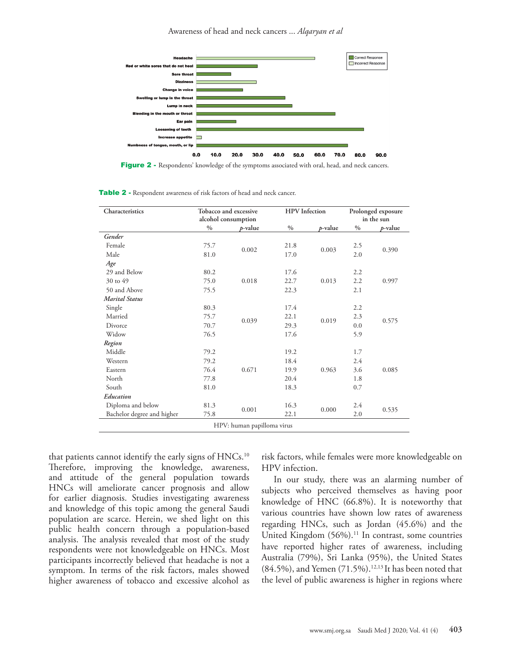Awareness of head and neck cancers ... *Alqaryan et al*



Figure 2 - Respondents' knowledge of the symptoms associated with oral, head, and neck cancers.

| Table 2 - Respondent awareness of risk factors of head and neck cancer. |  |
|-------------------------------------------------------------------------|--|
|-------------------------------------------------------------------------|--|

| Characteristics            | Tobacco and excessive<br>alcohol consumption |                 | <b>HPV</b> Infection |         | Prolonged exposure<br>in the sun |            |
|----------------------------|----------------------------------------------|-----------------|----------------------|---------|----------------------------------|------------|
|                            | $\%$                                         | <i>p</i> -value | $\frac{0}{0}$        | p-value | $0/0$                            | $p$ -value |
| Gender                     |                                              |                 |                      |         |                                  |            |
| Female                     | 75.7                                         | 0.002           | 21.8                 | 0.003   | 2.5                              | 0.390      |
| Male                       | 81.0                                         |                 | 17.0                 |         | 2.0                              |            |
| Age                        |                                              |                 |                      |         |                                  |            |
| 29 and Below               | 80.2                                         |                 | 17.6                 |         | 2.2                              |            |
| 30 to 49                   | 75.0                                         | 0.018           | 22.7                 | 0.013   | 2.2                              | 0.997      |
| 50 and Above               | 75.5                                         |                 | 22.3                 |         | 2.1                              |            |
| <b>Marital Status</b>      |                                              |                 |                      |         |                                  |            |
| Single                     | 80.3                                         |                 | 17.4                 | 0.019   | 2.2                              | 0.575      |
| Married                    | 75.7                                         |                 | 22.1                 |         | 2.3                              |            |
| Divorce                    | 70.7                                         | 0.039           | 29.3                 |         | 0.0                              |            |
| Widow                      | 76.5                                         |                 | 17.6                 |         | 5.9                              |            |
| Region                     |                                              |                 |                      |         |                                  |            |
| Middle                     | 79.2                                         |                 | 19.2                 |         | 1.7                              |            |
| Western                    | 79.2                                         |                 | 18.4                 | 0.963   | 2.4                              | 0.085      |
| Eastern                    | 76.4                                         | 0.671           | 19.9                 |         | 3.6                              |            |
| North                      | 77.8                                         |                 | 20.4                 |         | 1.8                              |            |
| South                      | 81.0                                         |                 | 18.3                 |         | 0.7                              |            |
| Education                  |                                              |                 |                      |         |                                  |            |
| Diploma and below          | 81.3                                         |                 | 16.3                 | 0.000   | 2.4                              | 0.535      |
| Bachelor degree and higher | 75.8                                         | 0.001           | 22.1                 |         | 2.0                              |            |

that patients cannot identify the early signs of HNCs.<sup>10</sup> Therefore, improving the knowledge, awareness, and attitude of the general population towards HNCs will ameliorate cancer prognosis and allow for earlier diagnosis. Studies investigating awareness and knowledge of this topic among the general Saudi population are scarce. Herein, we shed light on this public health concern through a population-based analysis. The analysis revealed that most of the study respondents were not knowledgeable on HNCs. Most participants incorrectly believed that headache is not a symptom. In terms of the risk factors, males showed higher awareness of tobacco and excessive alcohol as risk factors, while females were more knowledgeable on HPV infection.

In our study, there was an alarming number of subjects who perceived themselves as having poor knowledge of HNC (66.8%). It is noteworthy that various countries have shown low rates of awareness regarding HNCs, such as Jordan (45.6%) and the United Kingdom (56%). [11](#page-5-10) In contrast, some countries have reported higher rates of awareness, including Australia (79%), Sri Lanka (95%), the United States  $(84.5\%)$ , and Yemen  $(71.5\%)$ .<sup>[12,](#page-5-11)13</sup> It has been noted that the level of public awareness is higher in regions where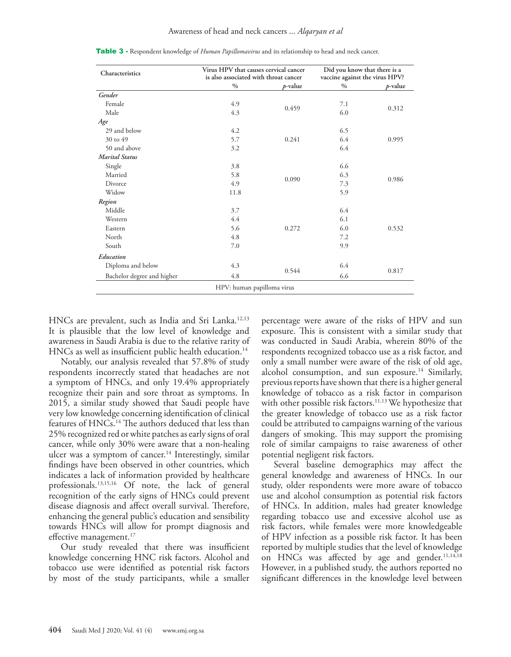| Characteristics            | Virus HPV that causes cervical cancer<br>is also associated with throat cancer |            | Did you know that there is a<br>vaccine against the virus HPV? |         |  |
|----------------------------|--------------------------------------------------------------------------------|------------|----------------------------------------------------------------|---------|--|
|                            | $\%$                                                                           | $p$ -value | $\%$                                                           | p-value |  |
| Gender                     |                                                                                |            |                                                                |         |  |
| Female                     | 4.9                                                                            | 0.459      | 7.1                                                            | 0.312   |  |
| Male                       | 4.3                                                                            |            | 6.0                                                            |         |  |
| Age                        |                                                                                |            |                                                                |         |  |
| 29 and below               | 4.2                                                                            |            | 6.5                                                            |         |  |
| 30 to 49                   | 5.7                                                                            | 0.241      | 6.4                                                            | 0.995   |  |
| 50 and above               | 3.2                                                                            |            | 6.4                                                            |         |  |
| <b>Marital Status</b>      |                                                                                |            |                                                                |         |  |
| Single                     | 3.8                                                                            |            | 6.6                                                            |         |  |
| Married                    | 5.8                                                                            |            | 6.3                                                            | 0.986   |  |
| Divorce                    | 4.9                                                                            | 0.090      | 7.3                                                            |         |  |
| Widow                      | 11.8                                                                           |            | 5.9                                                            |         |  |
| Region                     |                                                                                |            |                                                                |         |  |
| Middle                     | 3.7                                                                            |            | 6.4                                                            |         |  |
| Western                    | 4.4                                                                            |            | 6.1                                                            |         |  |
| Eastern                    | 5.6                                                                            | 0.272      | 6.0                                                            | 0.532   |  |
| North                      | 4.8                                                                            |            | 7.2                                                            |         |  |
| South                      | 7.0                                                                            |            | 9.9                                                            |         |  |
| Education                  |                                                                                |            |                                                                |         |  |
| Diploma and below          | 4.3                                                                            |            | 6.4                                                            |         |  |
| Bachelor degree and higher | 4.8                                                                            | 0.544      | 6.6                                                            | 0.817   |  |
|                            | HPV: human papilloma virus                                                     |            |                                                                |         |  |

Table 3 - Respondent knowledge of *Human Papillomavirus* and its relationship to head and neck cancer.

HNCs are prevalent, such as India and Sri Lanka.<sup>12,[13](#page-5-12)</sup> It is plausible that the low level of knowledge and awareness in Saudi Arabia is due to the relative rarity of HNCs as well as insufficient public health education.<sup>14</sup>

Notably, our analysis revealed that 57.8% of study respondents incorrectly stated that headaches are not a symptom of HNCs, and only 19.4% appropriately recognize their pain and sore throat as symptoms. In 2015, a similar study showed that Saudi people have very low knowledge concerning identification of clinical features of HNCs.<sup>14</sup> The authors deduced that less than 25% recognized red or white patches as early signs of oral cancer, while only 30% were aware that a non-healing ulcer was a symptom of cancer.<sup>14</sup> Interestingly, similar findings have been observed in other countries, which indicates a lack of information provided by healthcare professionals[.13,](#page-5-12)[15,](#page-5-14)[16](#page-5-15) Of note, the lack of general recognition of the early signs of HNCs could prevent disease diagnosis and affect overall survival. Therefore, enhancing the general public's education and sensibility towards HNCs will allow for prompt diagnosis and effective management.<sup>17</sup>

Our study revealed that there was insufficient knowledge concerning HNC risk factors. Alcohol and tobacco use were identified as potential risk factors by most of the study participants, while a smaller percentage were aware of the risks of HPV and sun exposure. This is consistent with a similar study that was conducted in Saudi Arabia, wherein 80% of the respondents recognized tobacco use as a risk factor, and only a small number were aware of the risk of old age, alcohol consumption, and sun exposure.<sup>[14](#page-5-13)</sup> Similarly, previous reports have shown that there is a higher general knowledge of tobacco as a risk factor in comparison with other possible risk factors.<sup>[11](#page-5-10),[13](#page-5-12)</sup> We hypothesize that the greater knowledge of tobacco use as a risk factor could be attributed to campaigns warning of the various dangers of smoking. This may support the promising role of similar campaigns to raise awareness of other potential negligent risk factors.

Several baseline demographics may affect the general knowledge and awareness of HNCs. In our study, older respondents were more aware of tobacco use and alcohol consumption as potential risk factors of HNCs. In addition, males had greater knowledge regarding tobacco use and excessive alcohol use as risk factors, while females were more knowledgeable of HPV infection as a possible risk factor. It has been reported by multiple studies that the level of knowledge on HNCs was affected by age and gender.<sup>11,[14,](#page-5-13)[18](#page-5-17)</sup> However, in a published study, the authors reported no significant differences in the knowledge level between